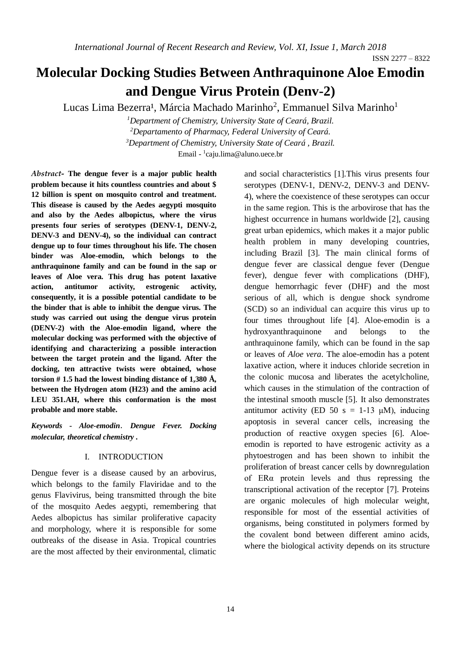# **Molecular Docking Studies Between Anthraquinone Aloe Emodin and Dengue Virus Protein (Denv-2)**

Lucas Lima Bezerra<sup>1</sup>, Márcia Machado Marinho<sup>2</sup>, Emmanuel Silva Marinho<sup>1</sup>

*Department of Chemistry, University State of Ceará, Brazil. Departamento of Pharmacy, Federal University of Ceará. Department of Chemistry, University State of Ceará , Brazil.* Email - 1 caju.lima@aluno.uece.br

*Abstract-* **The dengue fever is a major public health problem because it hits countless countries and about \$ 12 billion is spent on mosquito control and treatment. This disease is caused by the Aedes aegypti mosquito and also by the Aedes albopictus, where the virus presents four series of serotypes (DENV-1, DENV-2, DENV-3 and DENV-4), so the individual can contract dengue up to four times throughout his life. The chosen binder was Aloe-emodin, which belongs to the anthraquinone family and can be found in the sap or leaves of Aloe vera. This drug has potent laxative action, antitumor activity, estrogenic activity, consequently, it is a possible potential candidate to be the binder that is able to inhibit the dengue virus. The study was carried out using the dengue virus protein (DENV-2) with the Aloe-emodin ligand, where the molecular docking was performed with the objective of identifying and characterizing a possible interaction between the target protein and the ligand. After the docking, ten attractive twists were obtained, whose torsion # 1.5 had the lowest binding distance of 1,380 Å, between the Hydrogen atom (H23) and the amino acid LEU 351.AH, where this conformation is the most probable and more stable.**

*Keywords - Aloe-emodin*. *Dengue Fever. Docking molecular, theoretical chemistry .*

### I. INTRODUCTION

Dengue fever is a disease caused by an arbovirus, which belongs to the family Flaviridae and to the genus Flavivirus, being transmitted through the bite of the mosquito Aedes aegypti, remembering that Aedes albopictus has similar proliferative capacity and morphology, where it is responsible for some outbreaks of the disease in Asia. Tropical countries are the most affected by their environmental, climatic and social characteristics [1].This virus presents four serotypes (DENV-1, DENV-2, DENV-3 and DENV-4), where the coexistence of these serotypes can occur in the same region. This is the arbovirose that has the highest occurrence in humans worldwide [2], causing great urban epidemics, which makes it a major public health problem in many developing countries, including Brazil [3]. The main clinical forms of dengue fever are classical dengue fever (Dengue fever), dengue fever with complications (DHF), dengue hemorrhagic fever (DHF) and the most serious of all, which is dengue shock syndrome (SCD) so an individual can acquire this virus up to four times throughout life [4]. Aloe-emodin is a hydroxyanthraquinone and belongs to the anthraquinone family, which can be found in the sap or leaves of *Aloe vera*. The aloe-emodin has a potent laxative action, where it induces chloride secretion in the colonic mucosa and liberates the acetylcholine, which causes in the stimulation of the contraction of the intestinal smooth muscle [5]. It also demonstrates antitumor activity (ED 50 s = 1-13  $\mu$ M), inducing apoptosis in several cancer cells, increasing the production of reactive oxygen species [6]. Aloeemodin is reported to have estrogenic activity as a phytoestrogen and has been shown to inhibit the proliferation of breast cancer cells by downregulation of ERα protein levels and thus repressing the transcriptional activation of the receptor [7]. Proteins are organic molecules of high molecular weight, responsible for most of the essential activities of organisms, being constituted in polymers formed by the covalent bond between different amino acids, where the biological activity depends on its structure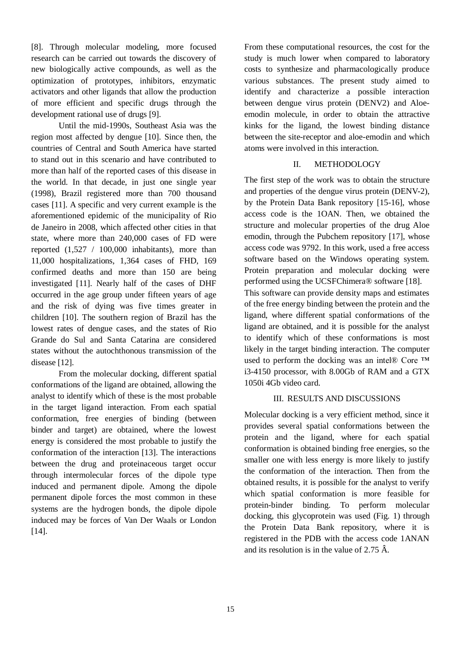[8]. Through molecular modeling, more focused research can be carried out towards the discovery of new biologically active compounds, as well as the optimization of prototypes, inhibitors, enzymatic activators and other ligands that allow the production of more efficient and specific drugs through the development rational use of drugs [9].

Until the mid-1990s, Southeast Asia was the region most affected by dengue [10]. Since then, the countries of Central and South America have started to stand out in this scenario and have contributed to more than half of the reported cases of this disease in the world. In that decade, in just one single year (1998), Brazil registered more than 700 thousand cases [11]. A specific and very current example is the aforementioned epidemic of the municipality of Rio de Janeiro in 2008, which affected other cities in that state, where more than 240,000 cases of FD were reported (1,527 / 100,000 inhabitants), more than 11,000 hospitalizations, 1,364 cases of FHD, 169 confirmed deaths and more than 150 are being investigated [11]. Nearly half of the cases of DHF occurred in the age group under fifteen years of age and the risk of dying was five times greater in children [10]. The southern region of Brazil has the lowest rates of dengue cases, and the states of Rio Grande do Sul and Santa Catarina are considered states without the autochthonous transmission of the disease [12].

From the molecular docking, different spatial conformations of the ligand are obtained, allowing the analyst to identify which of these is the most probable in the target ligand interaction. From each spatial conformation, free energies of binding (between binder and target) are obtained, where the lowest energy is considered the most probable to justify the conformation of the interaction [13]. The interactions between the drug and proteinaceous target occur through intermolecular forces of the dipole type induced and permanent dipole. Among the dipole permanent dipole forces the most common in these systems are the hydrogen bonds, the dipole dipole induced may be forces of Van Der Waals or London [14].

From these computational resources, the cost for the study is much lower when compared to laboratory costs to synthesize and pharmacologically produce various substances. The present study aimed to identify and characterize a possible interaction between dengue virus protein (DENV2) and Aloeemodin molecule, in order to obtain the attractive kinks for the ligand, the lowest binding distance between the site-receptor and aloe-emodin and which atoms were involved in this interaction.

### II. METHODOLOGY

The first step of the work was to obtain the structure and properties of the dengue virus protein (DENV-2), by the Protein Data Bank repository [15-16], whose access code is the 1OAN. Then, we obtained the structure and molecular properties of the drug Aloe emodin, through the Pubchem repository [17], whose access code was 9792. In this work, used a free access software based on the Windows operating system. Protein preparation and molecular docking were performed using the UCSFChimera® software [18]. This software can provide density maps and estimates

of the free energy binding between the protein and the ligand, where different spatial conformations of the ligand are obtained, and it is possible for the analyst to identify which of these conformations is most likely in the target binding interaction. The computer used to perform the docking was an intel® Core ™ i3-4150 processor, with 8.00Gb of RAM and a GTX 1050i 4Gb video card.

### III. RESULTS AND DISCUSSIONS

Molecular docking is a very efficient method, since it provides several spatial conformations between the protein and the ligand, where for each spatial conformation is obtained binding free energies, so the smaller one with less energy is more likely to justify the conformation of the interaction. Then from the obtained results, it is possible for the analyst to verify which spatial conformation is more feasible for protein-binder binding. To perform molecular docking, this glycoprotein was used (Fig. 1) through the Protein Data Bank repository, where it is registered in the PDB with the access code 1ANAN and its resolution is in the value of 2.75 Â.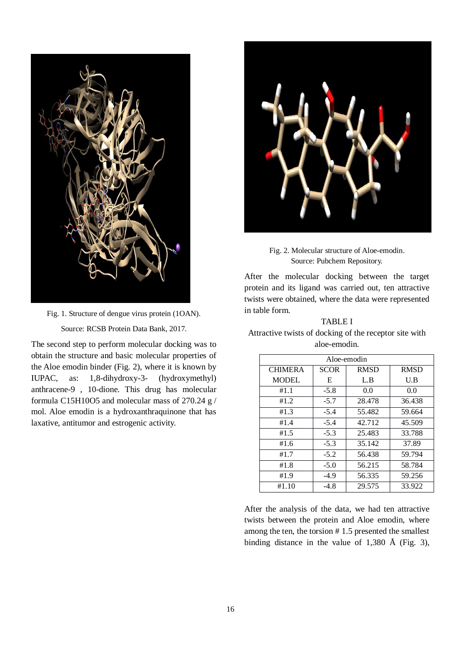

Fig. 1. Structure of dengue virus protein (1OAN). Source: RCSB Protein Data Bank, 2017.

The second step to perform molecular docking was to obtain the structure and basic molecular properties of the Aloe emodin binder (Fig. 2), where it is known by IUPAC, as: 1,8-dihydroxy-3- (hydroxymethyl) anthracene-9 , 10-dione. This drug has molecular formula C15H10O5 and molecular mass of 270.24 g / mol. Aloe emodin is a hydroxanthraquinone that has laxative, antitumor and estrogenic activity.



Fig. 2. Molecular structure of Aloe-emodin. Source: Pubchem Repository.

After the molecular docking between the target protein and its ligand was carried out, ten attractive twists were obtained, where the data were represented in table form.

## TABLE I

Attractive twists of docking of the receptor site with aloe-emodin.

| Aloe-emodin    |             |             |             |
|----------------|-------------|-------------|-------------|
| <b>CHIMERA</b> | <b>SCOR</b> | <b>RMSD</b> | <b>RMSD</b> |
| <b>MODEL</b>   | Е           | L.B         | U.B         |
| #1.1           | $-5.8$      | 0.0         | 0.0         |
| #1.2           | $-5.7$      | 28.478      | 36.438      |
| #1.3           | $-5.4$      | 55.482      | 59.664      |
| #1.4           | $-5.4$      | 42.712      | 45.509      |
| #1.5           | $-5.3$      | 25.483      | 33.788      |
| #1.6           | $-5.3$      | 35.142      | 37.89       |
| #1.7           | $-5.2$      | 56.438      | 59.794      |
| #1.8           | $-5.0$      | 56.215      | 58.784      |
| #1.9           | $-4.9$      | 56.335      | 59.256      |
| #1.10          | $-4.8$      | 29.575      | 33.922      |

After the analysis of the data, we had ten attractive twists between the protein and Aloe emodin, where among the ten, the torsion # 1.5 presented the smallest binding distance in the value of  $1,380 \text{ Å}$  (Fig. 3),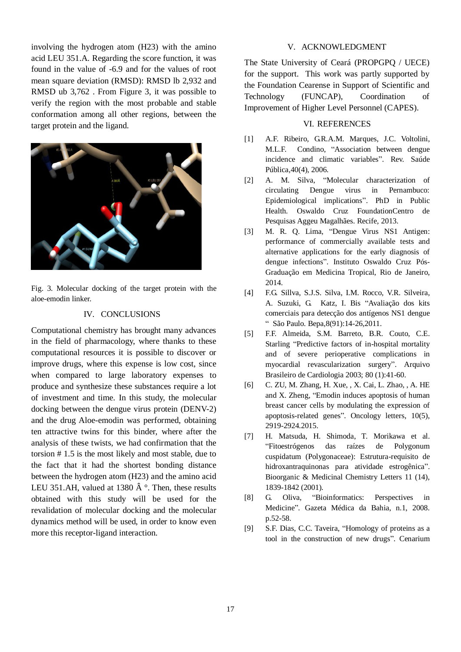involving the hydrogen atom (H23) with the amino acid LEU 351.A. Regarding the score function, it was found in the value of -6.9 and for the values of root mean square deviation (RMSD): RMSD lb 2,932 and RMSD ub 3,762 . From Figure 3, it was possible to verify the region with the most probable and stable conformation among all other regions, between the target protein and the ligand.



Fig. 3. Molecular docking of the target protein with the aloe-emodin linker.

### IV. CONCLUSIONS

Computational chemistry has brought many advances in the field of pharmacology, where thanks to these computational resources it is possible to discover or improve drugs, where this expense is low cost, since when compared to large laboratory expenses to produce and synthesize these substances require a lot of investment and time. In this study, the molecular docking between the dengue virus protein (DENV-2) and the drug Aloe-emodin was performed, obtaining ten attractive twins for this binder, where after the analysis of these twists, we had confirmation that the torsion # 1.5 is the most likely and most stable, due to the fact that it had the shortest bonding distance between the hydrogen atom (H23) and the amino acid LEU 351.AH, valued at 1380  $\hat{A}$  °. Then, these results obtained with this study will be used for the revalidation of molecular docking and the molecular dynamics method will be used, in order to know even more this receptor-ligand interaction.

### V. ACKNOWLEDGMENT

The State University of Ceará (PROPGPQ / UECE) for the support. This work was partly supported by the Foundation Cearense in Support of Scientific and Technology (FUNCAP), Coordination of Improvement of Higher Level Personnel (CAPES).

#### VI. REFERENCES

- [1] A.F. Ribeiro, G.R.A.M. Marques, J.C. Voltolini, M.L.F. Condino, "Association between dengue incidence and climatic variables". Rev. Saúde Pública,40(4), 2006.
- [2] A. M. Silva, "Molecular characterization of circulating Dengue virus in Pernambuco: Epidemiological implications". PhD in Public Health. Oswaldo Cruz FoundationCentro de Pesquisas Aggeu Magalhães. Recife, 2013.
- [3] M. R. Q. Lima, "Dengue Virus NS1 Antigen: performance of commercially available tests and alternative applications for the early diagnosis of dengue infections". Instituto Oswaldo Cruz Pós-Graduação em Medicina Tropical, Rio de Janeiro, 2014.
- [4] F.G. Sillva, S.J.S. Silva, I.M. Rocco, V.R. Silveira, A. Suzuki, G. Katz, I. Bis "Avaliação dos kits comerciais para detecção dos antígenos NS1 dengue " São Paulo. Bepa,8(91):14-26,2011.
- [5] F.F. Almeida, S.M. Barreto, B.R. Couto, C.E. Starling "Predictive factors of in-hospital mortality and of severe perioperative complications in myocardial revascularization surgery". Arquivo Brasileiro de Cardiologia 2003; 80 (1):41-60.
- [6] C. ZU, M. Zhang, H. Xue, , X. Cai, L. Zhao, , A. HE and X. Zheng, "Emodin induces apoptosis of human breast cancer cells by modulating the expression of apoptosis-related genes". Oncology letters, 10(5), 2919-2924.2015.
- [7] H. Matsuda, H. Shimoda, T. Morikawa et al. "Fitoestrógenos das raízes de Polygonum cuspidatum (Polygonaceae): Estrutura-requisito de hidroxantraquinonas para atividade estrogênica". Bioorganic & Medicinal Chemistry Letters 11 (14), 1839-1842 (2001).
- [8] G. Oliva, "Bioinformatics: Perspectives in Medicine". Gazeta Médica da Bahia, n.1, 2008. p.52-58.
- [9] S.F. Dias, C.C. Taveira, "Homology of proteins as a tool in the construction of new drugs". Cenarium